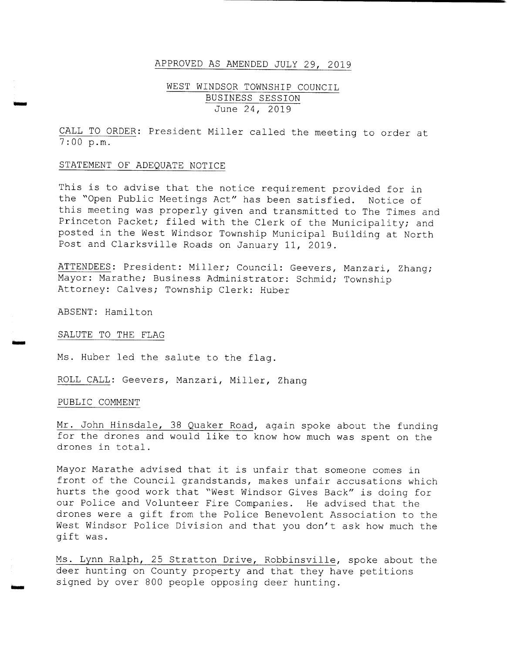### APPROVED AS AMENDED JULY 29, 2019

### WEST WINDSOR TOWNSHIP COUNCIL BUSINESS SESSION June 24, 2019

CALL TO ORDER: President Miller called the meeting to order at 7 : 00 p. m.

### STATEMENT OF ADEQUATE NOTICE

This is to advise that the notice requirement provided for in the "Open Public Meetings Act" has been satisfied. Notice of this meeting was properly given and transmitted to The Times and Princeton Packet; filed with the Clerk of the Municipality; and posted in the West Windsor Township Municipal Building at North Post and Clarksville Roads on January 11, 2019 .

ATTENDEES: President: Miller; Council: Geevers, Manzari, Zhang; Mayor: Marathe; Business Administrator: Schmid; Township Attorney: Calves; Township Clerk: Huber

ABSENT: Hamilton

.<br>Waxaa

rr.

SALUTE TO THE FLAG

Ms. Huber led the salute to the flag.

ROLL CALL: Geevers, Manzari, Miller, Zhang

#### PUBLIC COMMENT

Mr. John Hinsdale, 38 Quaker Road, again spoke about the funding for the drones and would like to know how much was spent on the drones in total .

Mayor Marathe advised that it is unfair that someone comes in front of the Council grandstands, makes unfair accusations which hurts the good work that " West Windsor Gives Back" is doing for our Police and Volunteer Fire Companies. He advised that the drones were <sup>a</sup> gift from the Police Benevolent Association to the West Windsor Police Division and that you don't ask how much the gift was .

Ms. Lynn Ralph, 25 Stratton Drive, Robbinsville, spoke about the deer hunting on County property and that they have petitions signed by over <sup>800</sup> people opposing deer hunting.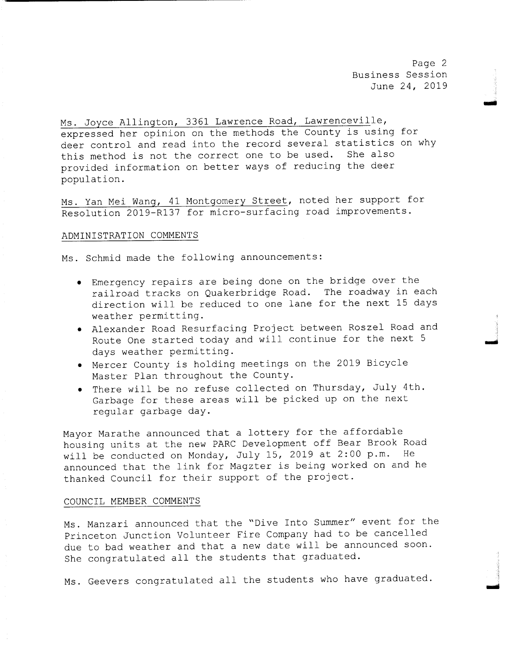Page 2 Business Session June 24, 2019

Ms . Joyce Allington, <sup>3361</sup> Lawrence Road, Lawrenceville, expressed her opinion on the methods the County is using for deer control and read into the record several statistics on why this method is not the correct one to be used. She also provided information on better ways of reducing the deer population.

Ms. Yan Mei Wang, 41 Montgomery Street, noted her support for Resolution 2019-R137 for micro-surfacing road improvements.

#### ADMINISTRATION COMMENTS

Ms . Schmid made the following announcements :

- Emergency repairs are being done on the bridge over the railroad tracks on Quakerbridge Road. The roadway in each direction will be reduced to one lane for the next <sup>15</sup> days weather permitting.
- Alexander Road Resurfacing Project between Roszel Road and Route One started today and will continue for the next <sup>5</sup> days weather permitting.
- Mercer County is holding meetings on the 2019 Bicycle Master Plan throughout the County.
- There will be no refuse collected on Thursday, July 4th. Garbage for these areas will be picked up on the next regular garbage day.

Mayor Marathe announced that <sup>a</sup> lottery for the affordable housing units at the new PARC Development off Bear Brook Road will be conducted on Monday, July 15, 2019 at 2:00 p.m. He announced that the link for Magzter is being worked on and he thanked Council for their support of the project .

### COUNCIL MEMBER COMMENTS

Ms . Manzari announced that the " Dive Into Summer" event for the Princeton Junction Volunteer Fire Company had to be cancelled due to bad weather and that <sup>a</sup> new date will be announced soon. She congratulated all the students that graduated.

Ms. Geevers congratulated all the students who have graduated.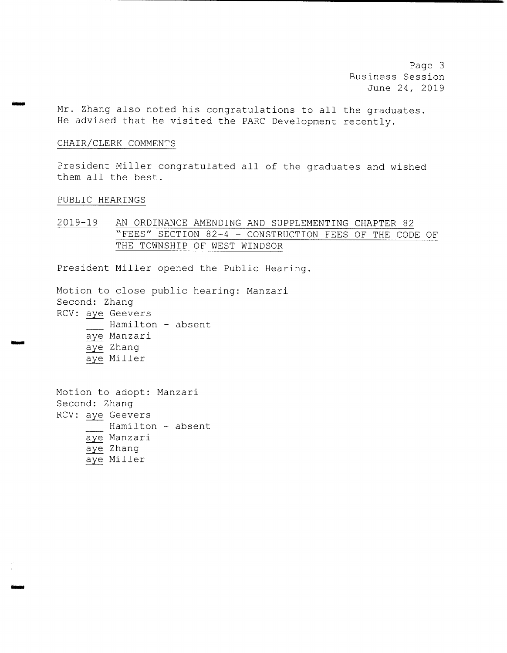Page <sup>3</sup> Business Session June 24, 2019

Mr. Zhang also noted his congratulations to all the graduates . He advised that he visited the PARC Development recently.

### CHAIR/ CLERK COMMENTS

President Miller congratulated all of the graduates and wished them all the best.

### PUBLIC HEARINGS

ram

mom

2019-19 AN ORDINANCE AMENDING AND SUPPLEMENTING CHAPTER 82 "FEES" SECTION 82-4 - CONSTRUCTION FEES OF THE CODE OF THE TOWNSHIP OF WEST WINDSOR

President Miller opened the Public Hearing.

Motion to close public hearing: Manzari Second: Zhang RCV: aye Geevers Hamilton - absent aye Manzari aye Zhang aye Miller

Motion to adopt: Manzari Second: Zhang RCV: aye Geevers Hamilton - absent aye Manzari aye Zhang aye Miller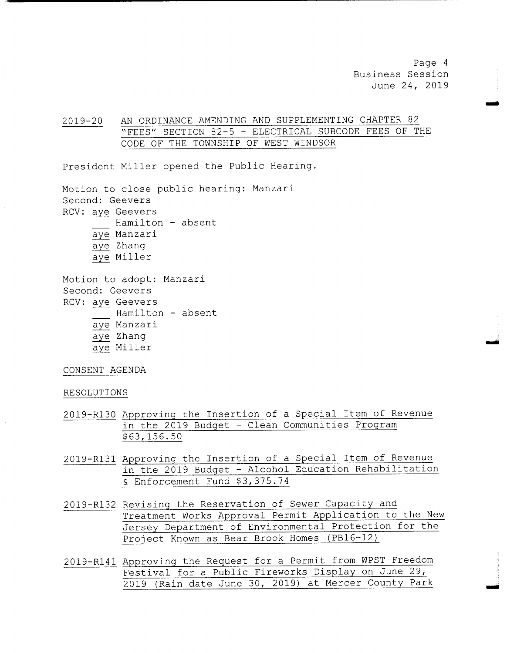Page <sup>4</sup> Business Session June 24, 2019

.<br>أغلب س

2019-20 AN ORDINANCE AMENDING AND SUPPLEMENTING CHAPTER 82 "FEES" SECTION 82-5 - ELECTRICAL SUBCODE FEES OF THE CODE OF THE TOWNSHIP OF WEST WINDSOR

President Miller opened the Public Hearing.

Motion to close public hearing: Manzari Second: Geevers RCV: aye Geevers Hamilton - absent aye Manzari aye Zhang aye Miller

Motion to adopt: Manzari Second: Geevers RCV: aye Geevers Hamilton - absent aye Manzari aye Zhang aye Miller

CONSENT AGENDA

#### RESOLUTIONS

- 2019- R130 Approving the Insertion of <sup>a</sup> Special Item of Revenue in the 2019 Budget - Clean Communities Program 63, 156 . 50
- 2019- R131 Approving the Insertion of <sup>a</sup> Special Item of Revenue in the <sup>2019</sup> Budget - Alcohol Education Rehabilitation & Enforcement Fund \$3,375.74
- 2019-R132 Revising the Reservation of Sewer Capacity and Treatment Works Approval Permit Application to the New Jersey Department of Environmental Protection for the Project Known as Bear Brook Homes (PB16-12)
- 2019- R141 Approving the Request for <sup>a</sup> Permit from WPST Freedom Festival for <sup>a</sup> Public Fireworks Display on June 29, 2019 ( Rain date June 30, 2019) at Mercer County Park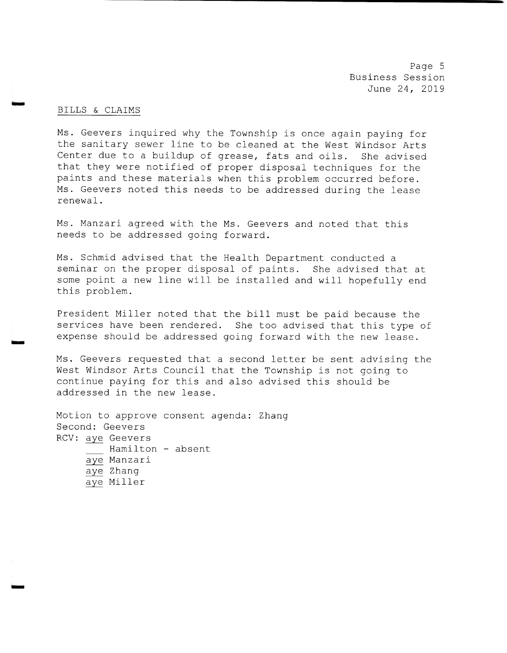Page <sup>5</sup> Business Session June 24, 2019

### BILLS & CLAIMS

UMW

Ms. Geevers inquired why the Township is once again paying for the sanitary sewer line to be cleaned at the West Windsor Arts Center due to a buildup of grease, fats and oils. She advised that they were notified of proper disposal techniques for the paints and these materials when this problem occurred before . Ms. Geevers noted this needs to be addressed during the lease renewal .

Ms. Manzari agreed with the Ms. Geevers and noted that this needs to be addressed going forward.

Ms . Schmid advised that the Health Department conducted <sup>a</sup> seminar on the proper disposal of paints. She advised that at some point <sup>a</sup> new line will be installed and will hopefully end this problem.

President Miller noted that the bill must be paid because the services have been rendered. She too advised that this type of expense should be addressed going forward with the new lease .

Ms . Geevers requested that <sup>a</sup> second letter be sent advising the West Windsor Arts Council that the Township is not going to continue paying for this and also advised this should be addressed in the new lease .

Motion to approve consent agenda: Zhang Second: Geevers RCV: aye Geevers Hamilton - absent aye Manzari aye Zhang aye Miller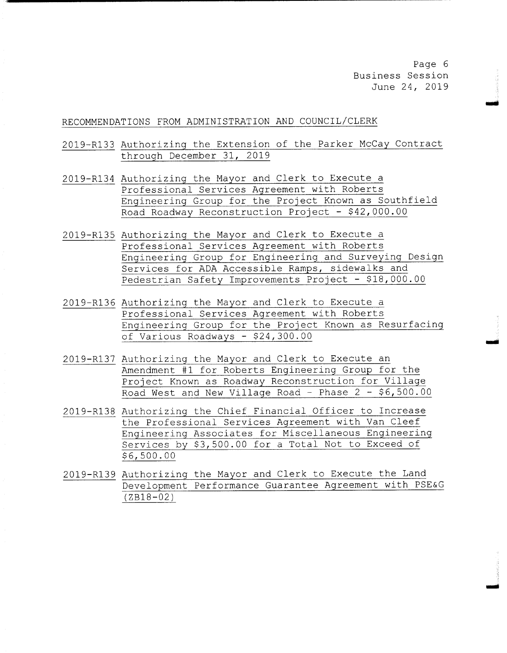Page 6 Business Session June 24, 2019

soil

rY

### RECOMMENDATIONS FROM ADMINISTRATION AND COUNCIL/ CLERK

- 2019-R133 Authorizing the Extension of the Parker McCay Contract through December 31, 2019
- 2019- R134 Authorizing the Mayor and Clerk to Execute <sup>a</sup> Professional Services Agreement with Roberts Engineering Group for the Project Known as Southfield Road Roadway Reconstruction Project - \$ 42, 000 . 00
- 2019- R135 Authorizing the Mayor and Clerk to Execute <sup>a</sup> Professional Services Agreement with Roberts Engineering Group for Engineering and Surveying Design Services for ADA Accessible Ramps, sidewalks and Pedestrian Safety Improvements Project - \$18,000.00
- 2019- R136 Authorizing the Mayor and Clerk to Execute <sup>a</sup> Professional Services Agreement with Roberts Engineering Group for the Project Known as Resurfacing of Various Roadways - \$24,300.00
- 2019- R137 Authorizing the Mayor and Clerk to Execute an Amendment #1 for Roberts Engineering Group for the Project Known as Roadway Reconstruction for Village Road West and New Village Road - Phase 2 - \$6,500.00
- 2019- R138 Authorizing the Chief Financial Officer to Increase the Professional Services Agreement with Van Cleef Engineering Associates for Miscellaneous Engineering Services by \$3,500.00 for a Total Not to Exceed of 6, 500 . 00
- 2019- R139 Authorizing the Mayor and Clerk to Execute the Land Development Performance Guarantee Agreement with PSE& <sup>G</sup>  $(ZB18 - 02)$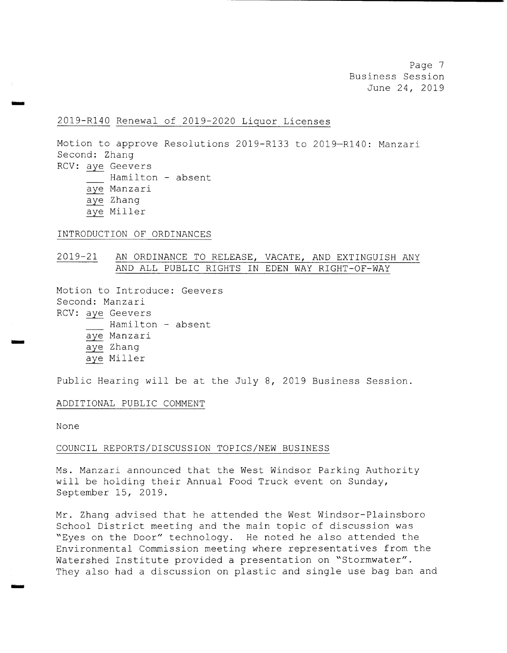Page <sup>7</sup> Business Session June 24, 2019

### 2019- R140 Renewal of 2019- 2020 Liquor Licenses

Motion to approve Resolutions 2019-R133 to 2019-R140: Manzari Second: Zhang RCV: aye Geevers Hamilton - absent aye Manzari aye Zhang aye Miller

#### INTRODUCTION OF ORDINANCES

### 2019-21 AN ORDINANCE TO RELEASE, VACATE, AND EXTINGUISH ANY AND ALL PUBLIC RIGHTS IN EDEN WAY RIGHT-OF-WAY

Motion to Introduce: Geevers Second: Manzari RCV: aye Geevers Hamilton - absent aye Manzari aye Zhang aye Miller

Public Hearing will be at the July 8, <sup>2019</sup> Business Session.

### ADDITIONAL PUBLIC COMMENT

None

woo

aim

#### COUNCIL REPORTS/ DISCUSSION TOPICS/ NEW BUSINESS

Ms . Manzari announced that the West Windsor Parking Authority will be holding their Annual Food Truck event on Sunday, September 15, 2019 .

Mr. Zhang advised that he attended the West Windsor- Plainsboro School District meeting and the main topic of discussion was Eyes on the Door" technology. He noted he also attended the Environmental Commission meeting where representatives from the Watershed Institute provided a presentation on "Stormwater". They also had <sup>a</sup> discussion on plastic and single use bag ban and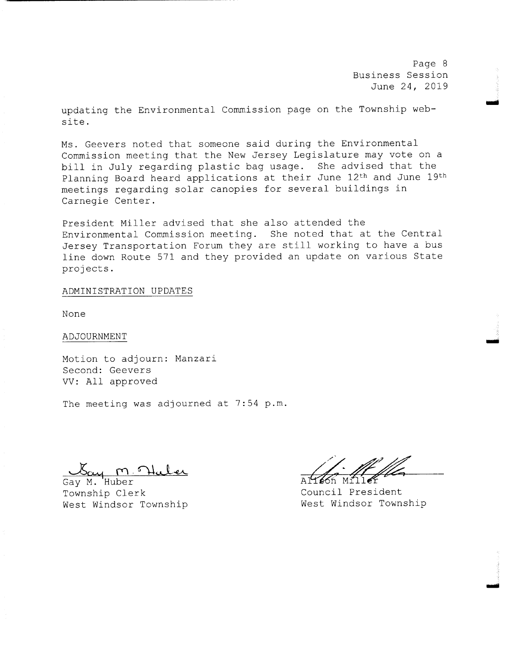Page <sup>8</sup> Business Session June 24, 2019

earl

.<br>تشخص

updating the Environmental Commission page on the Township website .

Ms. Geevers noted that someone said during the Environmental Commission meeting that the New Jersey Legislature may vote on <sup>a</sup> bill in July regarding plastic bag usage. She advised that the Planning Board heard applications at their June 12th and June 19th meetings regarding solar canopies for several buildings in Carnegie Center.

President Miller advised that she also attended the Environmental Commission meeting. She noted that at the Central Jersey Transportation Forum they are still working to have <sup>a</sup> bus line down Route <sup>571</sup> and they provided an update on various State projects .

### ADMINISTRATION UPDATES

None

### ADJOURNMENT

Motion to adjourn: Manzari Second: Geevers VV: All approved

The meeting was adjourned at 7:54 p.m.

Gay M. Huber Township Clerk<br>West Windsor Township<br>West Windsor Township West Windsor Township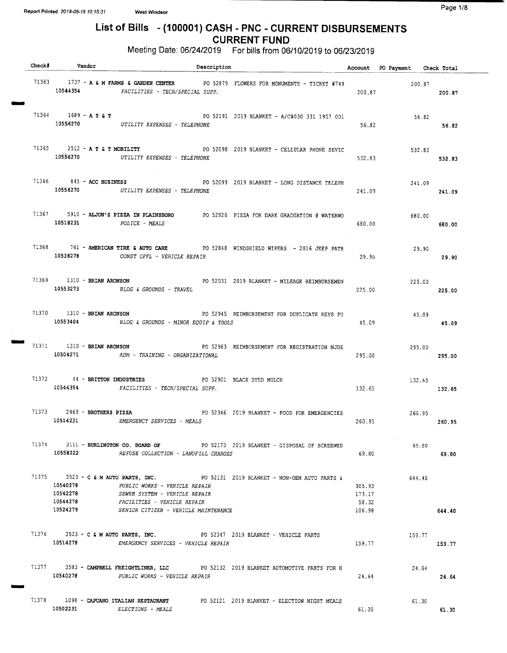OMMO

OMNI

Maw

### List of Bills - (100001) CASH - PNC - CURRENT DISBURSEMENTS CURRENT FUND

| Check# Vendor                          | Description                                                                                                                                                                                                                        |                                     | Account PO Payment Check Total |        |
|----------------------------------------|------------------------------------------------------------------------------------------------------------------------------------------------------------------------------------------------------------------------------------|-------------------------------------|--------------------------------|--------|
|                                        | 71363 1737 - A & M FARMS & GARDEN CENTER PO 52879 FLOWERS FOR MONUMENTS - TICKET #749<br>10544354 FACILITIES - TECH/SPECIAL SUPP.                                                                                                  | 200.87                              | 200.87<br>200.87               |        |
| 71364 1689 - A T & T                   | PO 52191 2019 BLANKET - A/C#030 331 1957 001<br>10556270 UTILITY EXPENSES - TELEPHONE                                                                                                                                              | 56.82                               | 56.82                          | 56.82  |
|                                        | 71365 2512 - A T & T MOBILITY PO 52098 2019 BLANKET - CELLULAR PHONE SEVIC<br>10556270 UTILITY EXPENSES - TELEPHONE                                                                                                                | 532.83                              | 532.83                         | 532.83 |
|                                        | 71366 845 - ACC BUSINESS 6 845 - PO 52099 2019 BLANKET - LONG DISTANCE TELEPH<br>10556270 UTILITY EXPENSES - TELEPHONE                                                                                                             | 241.09                              | 241.09                         | 241.09 |
|                                        | 71367 5910 - ALJON'S PIZZA IN PLAINSBORO PO 52926 PIZZA FOR DARE GRADUATION @ WATERWO<br>10518231 POLICE - MEALS                                                                                                                   | 680.00                              | 680.00                         | 680.00 |
|                                        | 71368 761 - AMERICAN TIRE & AUTO CARE PO 52848 WINDSHIELD WIPERS - 2016 JEEP PATR<br>10538278 CONST OFFL - VEHICLE REPAIR                                                                                                          | 29.90                               | 29.90                          | 29.90  |
|                                        | 71369 1310 - BRIAN ARONSON PO 52031 2019 BLANKET - MILEAGE REIMBURSEMEN<br>10553273 BLDG & GROUNDS - TRAVEL                                                                                                                        | 225.00                              | 225.00                         | 225.00 |
| 71370 1310 - BRIAN ARONSON<br>10553404 | PO 52945 REIMBURSEMENT FOR DUPLICATE KEYS PU<br>BLDG & GROUNDS - MINOR EQUIP & TOOLS                                                                                                                                               | 45.09                               | 45.09                          | 45.09  |
| 71371 1310 - BRIAN ARONSON             | PO 52963 REIMBURSEMENT FOR REGISTRATION NJDE<br>10504271 ADM - TRAINING - ORGANIZATIONAL                                                                                                                                           | 295.00                              | 295.00<br>295.00               |        |
|                                        | 71372 44 - BRITTON INDUSTRIES PO 52901 BLACK DYED MULCH<br>10544354 FACILITIES - TECH/SPECIAL SUPP.                                                                                                                                | 132.65                              | 132.65<br>132.65               |        |
| 71373 2469 - BROTHERS PIZZA            | PO 52346 2019 BLANKET - FOOD FOR EMERGENCIES<br>10514231 EMERGENCY SERVICES - MEALS                                                                                                                                                |                                     | 260.95<br>260.95 260.95        |        |
| 10558222                               | 71374 3111 - BURLINGTON CO. BOARD OF PO 52173 2019 BLANKET - DISPOSAL OF SCREENED<br>REFUSE COLLECTION - LANDFILL CHARGES                                                                                                          | 69.80                               | 69.80                          | 69.80  |
| 10540278<br>10542278<br>10524279       | 71375 3523 - C & M AUTO PARTS, INC. PO 52131 2019 BLANKET - NON-OEM AUTO PARTS &<br>PUBLIC WORKS - VEHICLE REPAIR<br>SEWER SYSTEM - VEHICLE REPAIR<br>10544278 FACILITIES - VEHICLE REPAIR<br>SENIOR CITIZEN - VEHICLE MAINTENANCE | 305.93<br>173.17<br>58.32<br>106.98 | 644.40                         | 644.40 |
|                                        | 71376 3523 - C & M AUTO PARTS, INC. PO 52347 2019 BLANKET - VEHICLE PARTS<br>10514278 EMERGENCY SERVICES - VEHICLE REPAIR                                                                                                          | 159.77                              | 159.77                         | 159.77 |
| 10540278                               | 71377 3583 - CAMPBELL FREIGHTLINER, LLC PO 52132 2019 BLANKET AUTOMOTIVE PARTS FOR H<br>PUBLIC WORKS - VEHICLE REPAIR                                                                                                              | 24.64                               | 24.64                          | 24.64  |
| 10502231                               | 71378 1098 - CAPUANO ITALIAN RESTAURANT PO 52121 2019 BLANKET - ELECTION NIGHT MEALS<br><i>ELECTIONS - MEALS</i>                                                                                                                   | 61.30                               | 61.30                          | 61.30  |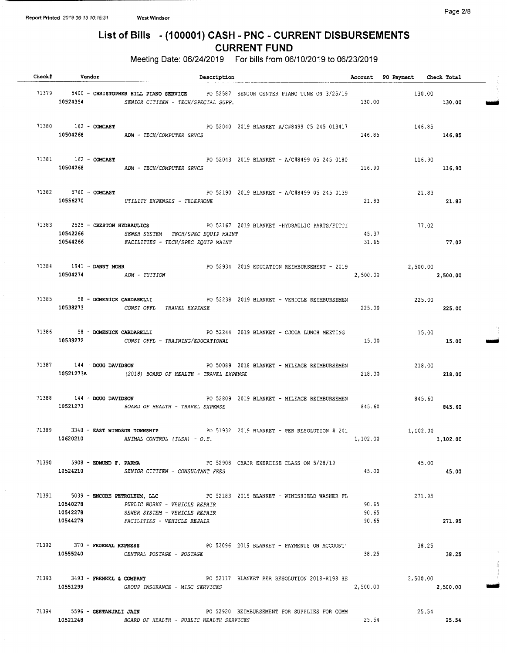Page 2/8

# List of Bills - ( 100001) CASH - PNC - CURRENT DISBURSEMENTS CURRENT FUND

| Check# Vendor                                 | Description                                                                                                                                                                            |                         | Account PO Payment Check Total |          |  |
|-----------------------------------------------|----------------------------------------------------------------------------------------------------------------------------------------------------------------------------------------|-------------------------|--------------------------------|----------|--|
|                                               | 71379 5400 - CHRISTOPHER HILL PIANO SERVICE PO 52587 SENIOR CENTER PIANO TUNE ON 3/25/19<br>10524354 SENIOR CITIZEN - TECH/SPECIAL SUPP.                                               | 130.00                  | 130.00                         | 130.00   |  |
|                                               | 71380 162 - COMCAST 62010 2019 BLANKET A/C#8499 05 245 013417<br>10504268 ADM - TECH/COMPUTER SRVCS                                                                                    | 146.85                  | 146.85                         | 146.85   |  |
|                                               | 71381 162 - COMCAST 71381 162 - PO 52043 2019 BLANKET - A/C#8499 05 245 0180<br>10504268 ADM - TECH/COMPUTER SRVCS                                                                     | 116.90                  | 116.90<br>116.90               |          |  |
|                                               | 71382 5760 - COMCAST 600 FOR S2190 2019 BLANKET - A/C#8499 05 245 0139<br>10556270 UTILITY EXPENSES - TELEPHONE                                                                        | 21.83                   | 21.83                          | 21.83    |  |
|                                               | 71383 2525 - CRESTON HYDRAULICS PO 52167 2019 BLANKET -HYDRAULIC PARTS/FITTI<br>10542266 SEWER SYSTEM - TECH/SPEC EQUIP MAINT<br>10544266 FACILITIES - TECH/SPEC EQUIP MAINT           | 45.37<br>31.65          | 77.02                          | 77.02    |  |
|                                               | 71384 1941 - DANNY MOHR PO 52934 2019 EDUCATION REIMBURSEMENT - 2019 2,500.00<br>10504274 ADM - TUITION                                                                                | 2,500.00                |                                | 2,500.00 |  |
|                                               | 71385 58 - DOMENICK CARDARELLI PO 52238 2019 BLANKET - VEHICLE REIMBURSEMEN<br>10538273 CONST OFFL - TRAVEL EXPENSE                                                                    | 225.00                  | 225.00<br>225.00               |          |  |
|                                               | 71386 58 - DOMENICK CARDARELLI PO 52244 2019 BLANKET - CJCOA LUNCH MEETING<br>10538272 CONST OFFL - TRAINING/EDUCATIONAL                                                               | 15.00                   | 15.00                          | 15.00    |  |
|                                               | 71387 144 - DOUG DAVIDSON<br>PO 50089 2018 BLANKET - MILEAGE REIMBURSEMEN<br>10521273A (2018) BOARD OF HEALTH - TRAVEL EXPENSE                                                         | 218.00                  | 218.00                         | 218.00   |  |
| $71388$ $144 - DOUG$ DAVIDSON                 | PO 52809 2019 BLANKET - MILEAGE REIMBURSEMEN<br>10521273 BOARD OF HEALTH - TRAVEL EXPENSE                                                                                              | 845.60                  | 845.60<br>845.60               |          |  |
|                                               | 71389 3348 - EAST WINDSOR TOWNSHIP PO 51932 2019 BLANKET - PER RESOLUTION # 201<br>10620210 ANIMAL CONTROL (ILSA) - $O.E.$                                                             | 1,102.00                | 1,102.00                       |          |  |
|                                               | 71390 5908 - EDMUND F. PARMA 6 62908 CHAIR EXERCISE CLASS ON 5/28/19<br>10524210 SENIOR CITIZEN - CONSULTANT FEES                                                                      | 45.00                   | 45.00                          | 45.00    |  |
| 10540278<br>10542278                          | 71391 5039 - ENCORE PETROLEUM, LLC 52183 2019 BLANKET - WINDSHIELD WASHER FL<br>PUBLIC WORKS - VEHICLE REPAIR<br>SEWER SYSTEM - VEHICLE REPAIR<br>10544278 FACILITIES - VEHICLE REPAIR | 90.65<br>90.65<br>90.65 | 271.95                         | 271.95   |  |
|                                               | 71392 370 - FEDERAL EXPRESS 6 2019 BLANKET - PAYMENTS ON ACCOUNT<br>10555240 CENTRAL POSTAGE - POSTAGE                                                                                 | 38.25                   | 38.25                          | 38.25    |  |
| $71393  3493 -$ FRENKEL & COMPANY<br>10551299 | PO 52117 BLANKET PER RESOLUTION 2018-R198 HE<br>GROUP INSURANCE - MISC SERVICES                                                                                                        | 2,500.00                | 2,500.00                       | 2,500.00 |  |
| 71394 5596 - GEETANJALI JAIN<br>10521248      | PO 52920 REIMBURSEMENT FOR SUPPLIES FOR COMM<br>BOARD OF HEALTH - PUBLIC HEALTH SERVICES                                                                                               | 25.54                   | 25.54                          | 25.54    |  |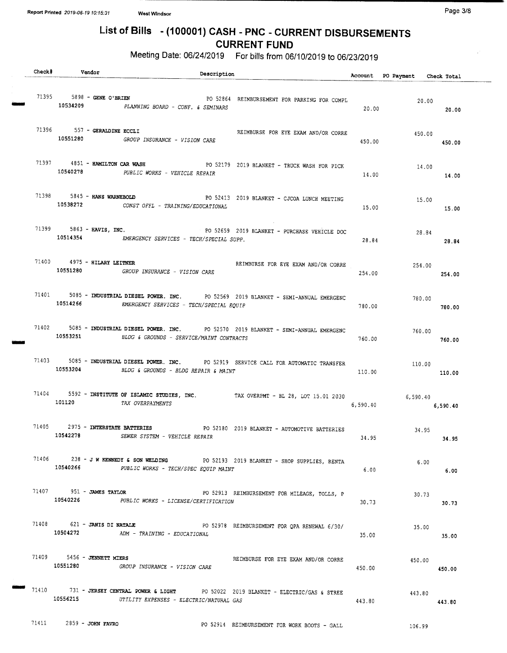# List of Bills - (100001) CASH - PNC - CURRENT DISBURSEMENTS CURRENT FUND

| Check# | Vendor                         | Description                                                                                                                                  |          | Account PO Payment Check Total |        |
|--------|--------------------------------|----------------------------------------------------------------------------------------------------------------------------------------------|----------|--------------------------------|--------|
|        |                                | 71395 5898 - GENE O'BRIEN<br>PO 52864 REIMBURSEMENT FOR PARKING FOR COMPL<br>10534209 PLANNING BOARD - CONF. & SEMINARS                      | 20.00    | 20.00                          | 20.00  |
|        | 71396 557 - GERALDINE ECCLI    | REIMBURSE FOR EYE EXAM AND/OR CORRE<br>10551280 GROUP INSURANCE - VISION CARE                                                                | 450.00   | 450.00                         | 450.00 |
|        | 71397 4851 - HAMILTON CAR WASH | PO 52179 2019 BLANKET - TRUCK WASH FOR PICK<br>10540278 PUBLIC WORKS - VEHICLE REPAIR                                                        | 14.00    | 14.00                          | 14.00  |
|        |                                | 71398 5845 - HANS WARNEBOLD PO 52413 2019 BLANKET - CJCOA LUNCH MEETING<br>10538272 CONST OFFL - TRAINING/EDUCATIONAL                        | 15.00    | 15.00                          | 15.00  |
|        |                                | 71399 5863 - HAVIS, INC. THE RESERVE PO 52659 2019 BLANKET - PURCHASE VEHICLE DOC<br>10514354 EMERGENCY SERVICES - TECH/SPECIAL SUPP.        | 28.84    | 28.84                          | 28.84  |
|        | 71400  4975 - HILARY LEITNER   | REIMBURSE FOR EYE EXAM AND/OR CORRE<br>10551280 GROUP INSURANCE - VISION CARE                                                                | 254.00   | 254.00<br>254.00               |        |
|        |                                | 71401 5085 - INDUSTRIAL DIESEL POWER. INC. PO 52569 2019 BLANKET - SEMI-ANNUAL EMERGENC<br>10514266 EMERGENCY SERVICES - TECH/SPECIAL EQUIP  | 780.00   | 780.00                         | 780.00 |
|        |                                | 71402 5085 - INDUSTRIAL DIESEL POWER. INC. PO 52570 2019 BLANKET - SEMI-ANNUAL EMERGENC<br>10553251 BLDG & GROUNDS - SERVICE/MAINT CONTRACTS | 760.00   | 760.00                         | 760.00 |
|        |                                | 71403 5085 - INDUSTRIAL DIESEL POWER. INC. PO 52919 SERVICE CALL FOR AUTOMATIC TRANSFER<br>10553204 BLDG & GROUNDS - BLDG REPAIR & MAINT     | 110.00   | 110.00<br>110.00               |        |
|        | 101120                         | 71404 5592 - INSTITUTE OF ISLAMIC STUDIES, INC. TAX OVERPMT - BL 28, LOT 15.01 2030<br>TAX OVERPAYMENTS                                      | 6,590.40 | 6,590.40<br>6,590.40           |        |
|        |                                | 71405 2975 - INTERSTATE BATTERIES PO 52180 2019 BLANKET - AUTOMOTIVE BATTERIES<br>10542278 SEWER SYSTEM - VEHICLE REPAIR                     |          | 34.95<br>$34.95$ $34.95$       |        |
|        |                                | 71406 238 - J W KENNEDY & SON WELDING PO 52193 2019 BLANKET - SHOP SUPPLIES, RENTA<br>10540266 PUBLIC WORKS - TECH/SPEC EQUIP MAINT          | $6.00 -$ | 6.00                           | 6.00   |
|        |                                | 71407 951 - JAMES TAYLOR PO 52913 REIMBURSEMENT FOR MILEAGE, TOLLS, P<br>10540226 PUBLIC WORKS - LICENSE/CERTIFICATION                       | 30.73    | 30.73                          | 30.73  |
|        |                                | 71408 621 - JANIS DI NATALE PO 52978 REIMBURSEMENT FOR QPA RENEWAL 6/30/<br>10504272 ADM - TRAINING - EDUCATIONAL                            | 35.00    | 35.00                          | 35.00  |
|        | 71409 5456 - JENNETT MIERS     | REIMBURSE FOR EYE EXAM AND/OR CORRE<br>10551280 GROUP INSURANCE - VISION CARE                                                                | 450.00   | 450.00                         | 450.00 |
|        |                                | 71410 731 - JERSEY CENTRAL POWER & LIGHT PO 52022 2019 BLANKET - ELECTRIC/GAS & STREE<br>10556215 UTILITY EXPENSES - ELECTRIC/NATURAL GAS    | 443.80   | 443.80                         | 443.80 |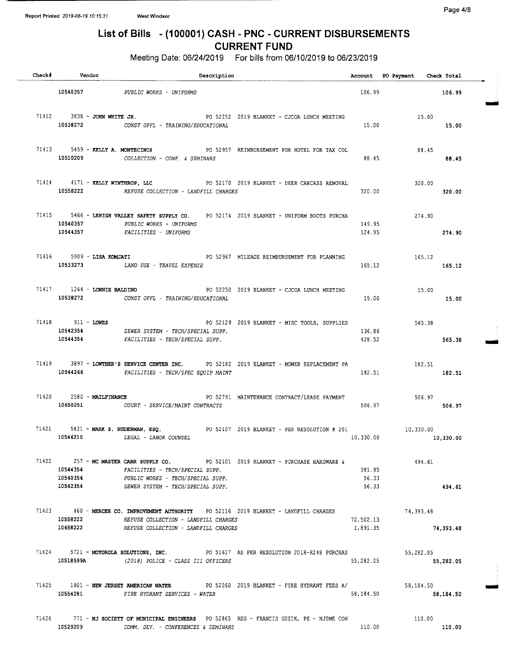Page 4/8

# List of Bills - (100001) CASH - PNC - CURRENT DISBURSEMENTS CURRENT FUND

| Check# Vendor                 | Description                                                                                                                                                                                                      |                          | Account PO Payment Check Total |           |
|-------------------------------|------------------------------------------------------------------------------------------------------------------------------------------------------------------------------------------------------------------|--------------------------|--------------------------------|-----------|
|                               | 10540357 PUBLIC WORKS - UNIFORMS                                                                                                                                                                                 |                          | 106.99<br>106.99               |           |
| $71412$ 3838 - JOHN WHITE JR. | PO 52252 2019 BLANKET - CJCOA LUNCH MEETING<br>10538272 CONST OFFL - TRAINING/EDUCATIONAL                                                                                                                        | 15.00                    | 15.00<br>15.00                 |           |
|                               | 71413 5459 - KELLY A. MONTECINOS 60 2957 REIMBURSEMENT FOR HOTEL FOR TAX COL<br>10510209 COLLECTION - CONF. & SEMINARS                                                                                           | 88.45                    | 88.45<br>88.45                 |           |
|                               | 71414  4171 - RELLY WINTHROP, LLC  PO 52170  2019 BLANKET - DEER CARCASS REMOVAL<br>10558222 REFUSE COLLECTION - LANDFILL CHARGES                                                                                | 320.00                   | 320.00<br>320.00               |           |
| 10540357                      | 71415 5466 - LEHIGH VALLEY SAFETY SUPPLY CO. PO 52174 2019 BLANKET - UNIFORM BOOTS PURCHA<br>PUBLIC WORKS - UNIFORMS<br>10544357 FACILITIES - UNIFORMS                                                           | 149.95<br>124.95         | 274.90<br>274.90               |           |
|                               | 71416 5909 - LISA KOMJATI 6 2006 2007 MILEAGE REIMBURSEMENT FOR PLANNING<br>10533273 LAND USE - TRAVEL EXPENSE                                                                                                   |                          | 165,12<br>165.12 165.12        |           |
|                               | 71417 1264 - LONNIE BALDINO <b>PO 52250 2019 BLANKET</b> - CJCOA LUNCH MEETING 15.00<br>10538272 CONST OFFL - TRAINING/EDUCATIONAL                                                                               | 15.00                    |                                | 15.00     |
| 71418 911 - LOWES             | PO 52129 2019 BLANKET - MISC TOOLS, SUPPLIES<br>10542354 SEWER SYSTEM - TECH/SPECIAL SUPP.<br>10544354 FACILITIES - TECH/SPECIAL SUPP.                                                                           | 136.86<br>428.52         | 565.38<br>565.38               |           |
|                               | 71419 3897 - LOWTHER'S SERVICE CENTER INC. PO 52182 2019 BLANKET - MOWER REPLACEMENT PA 182.51<br>10544266 FACILITIES - TECH/SPEC EQUIP MAINT                                                                    | 182.51                   | 182.51                         |           |
|                               | 71420 2580 - MAILFINANCE CONTRACT/LEASE PAYMENT<br>10650251 COURT - SERVICE/MAINT CONTRACTS                                                                                                                      | 506.97                   | $506.97$ 506.97                |           |
|                               | 71421 5831 - MARK S. RUDERMAN, ESQ. PO 52107 2019 BLANKET - PER RESOLUTION # 201 10,330.00<br>10546210 LEGAL - LABOR COUNSEL                                                                                     | 10,330.00                |                                | 10,330.00 |
| 10542354                      | 71422 257 - MC MASTER CARR SUPPLY CO. PO 52101 2019 BLANKET - PURCHASE HARDWARE &<br>10544354 FACILITIES - TECH/SPECIAL SUPP.<br>10540354 PUBLIC WORKS - TECH/SPECIAL SUPP.<br>SEWER SYSTEM - TECH/SPECIAL SUPP. | 381.95<br>56.33<br>56.33 | 494.61                         | 494.61    |
|                               | 71423 460 - MERCER CO. IMPROVEMENT AUTHORITY PO 52116 2019 BLANKET - LANDFILL CHARGES<br>10558222 REFUSE COLLECTION - LANDFILL CHARGES<br>10658222 REFUSE COLLECTION - LANDFILL CHARGES                          | 72,502.13<br>1,891.35    | 74,393.48<br>74,393.48         |           |
| 10518599A                     | 71424 5721 - MOTOROLA SOLUTIONS, INC. PO 51617 AS PER RESOLUTION 2018-R248 PURCHAS 55, 282.05<br>(2018) POLICE - CLASS III OFFICERS                                                                              | 55,282.05                |                                | 55,282.05 |
|                               | 71425 1801 - NEW JERSEY AMERICAN WATER PO 52260 2019 BLANKET - FIRE HYDRANT FEES A/<br>10554281 FIRE HYDRANT SERVICES - WATER                                                                                    | 58,184.50                | 58,184.50                      | 58,184.50 |
| 10529209                      | 71426 771 - NJ SOCIETY OF MUNICIPAL ENGINEERS PO 52865 REG - FRANCIS GUZIK, PE - NJSME CON<br>COMM. DEV. - CONFERENCES & SEMINARS                                                                                | 110.00                   | 110.00<br>110.00               |           |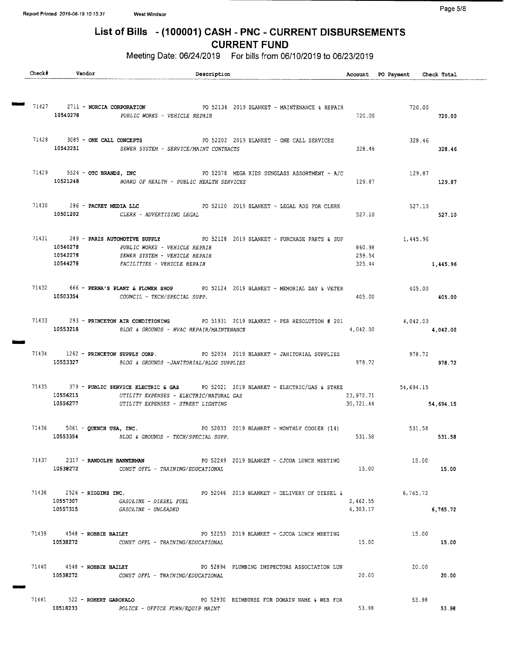# List of Bills - (100001) CASH - PNC - CURRENT DISBURSEMENTS CURRENT FUND

| Check# | Vendor   | Description                                                                                                                                                                                         |                      | Account PO Payment Check Total   |          |
|--------|----------|-----------------------------------------------------------------------------------------------------------------------------------------------------------------------------------------------------|----------------------|----------------------------------|----------|
|        |          | 71427 2711 - NORCIA CORPORATION PO 52134 2019 BLANKET - MAINTENANCE & REPAIR 720.00                                                                                                                 |                      |                                  |          |
|        |          | 10540278 PUBLIC WORKS - VEHICLE REPAIR                                                                                                                                                              | 720.00               | 720.00                           |          |
|        |          | 71428 3085 - ONE CALL CONCEPTS PO 52202 2019 BLANKET - ONE CALL SERVICES<br>10542251 SEWER SYSTEM - SERVICE/MAINT CONTRACTS 328.46                                                                  |                      | $328.46$<br>$328.46$             |          |
|        |          | 71429 5524 - OTC BRANDS, INC PO 52578 MEGA KIDS SUNGLASS ASSORTMENT - A/C<br>10521248 BOARD OF HEALTH - PUBLIC HEALTH SERVICES                                                                      |                      | 129.87<br>129.87 129.87          |          |
|        |          | 71430 286 - PACKET MEDIA LLC 2019 BLANKET - LEGAL ADS FOR CLERK<br>10501202 CLERK - ADVERTISING LEGAL                                                                                               | 527.10               | 527.10<br>527.10                 |          |
|        | 10544278 | 71431 289 - PARIS AUTOMOTIVE SUPPLY PO 52128 2019 BLANKET - PURCHASE PARTS & SUP<br>10540278 PUBLIC WORKS - VEHICLE REPAIR<br>10542278 SEWER SYSTEM - VEHICLE REPAIR<br>FACILITIES - VEHICLE REPAIR | 860.98<br>259.54     | 1,445.96<br>325.44               | 1,445.96 |
|        |          | 71432 666 - PERNA'S PLANT & FLOWER SHOP PO 52124 2019 BLANKET - MEMORIAL DAY & VETER<br>10503354 COUNCIL - TECH/SPECIAL SUPP.                                                                       | 405.00               | 405.00<br>405.00                 |          |
|        |          | 71433 293 - PRINCETON AIR CONDITIONING PO 51931 2019 BLANKET - PER RESOLUTION # 201 4,042.00<br>10553218 BLDG & GROUNDS - HVAC REPAIR/MAINTENANCE                                                   |                      | 4,042.00 4,042.00                |          |
|        |          | 71434 1262 - PRINCETON SUPPLY CORP. PO 52034 2019 BLANKET - JANITORIAL SUPPLIES<br>10553327 BLDG & GROUNDS -JANITORIAL/BLDG SUPPLIES                                                                | 978.72               | 978.72                           | 978.72   |
|        |          | 71435 379 - PUBLIC SERVICE ELECTRIC & GAS PO 52021 2019 BLANKET - ELECTRIC/GAS & STREE<br>10556215 UTILITY EXPENSES - ELECTRIC/NATURAL GAS<br>10556277 UTILITY EXPENSES - STREET LIGHTING           | 23,972.71            | 54,694.15<br>30,721.44 54,694.15 |          |
|        |          | 931.58 5061 - QUENCH USA, INC.<br>2019 BLANKET - MONTHLY COOLER (14) 531.58 531.58 531.58 531.58 531.58 531.58 531.58 531.58 531.58 531.58 531.58                                                   |                      |                                  |          |
|        | 10538272 | 71437 2317 - RANDOLPH BANNERMAN PO 52249 2019 BLANKET - CJCOA LUNCH MEETING<br>CONST OFFL - TRAINING/EDUCATIONAL                                                                                    | 15.00                | 15.00                            | 15.00    |
|        | 10557307 | 71438 2526 - RIGGINS INC.<br>PO 52046 2019 BLANKET - DELIVERY OF DIESEL &<br><i>GASOLINE - DIESEL FUEL</i><br>10557315 GASOLINE - UNLEADED                                                          | 2,462.55<br>4,303.17 | 6,765.72                         | 6,765.72 |
|        |          | 71439 4548 - ROBBIE BAILEY 1999 12253 2019 BLANKET - CJCOA LUNCH MEETING<br>10538272 CONST OFFL - TRAINING/EDUCATIONAL                                                                              | 15.00                | 15.00                            | 15.00    |
|        | 10538272 | $71440$ $4548$ - ROBBIE BAILEY<br>PO 52894 PLUMBING INSPECTORS ASSOCIATION LUN<br>CONST OFFL - TRAINING/EDUCATIONAL                                                                                 | 20.00                | 20.00                            | 20.00    |
| 71441  |          | 522 - ROBERT GAROFALO<br>PO 52930 REIMBURSE FOR DOMAIN NAME & WEB FOR<br>10518233 POLICE - OFFICE FURN/EQUIP MAINT                                                                                  | 53.98                | 53.98                            | 53.98    |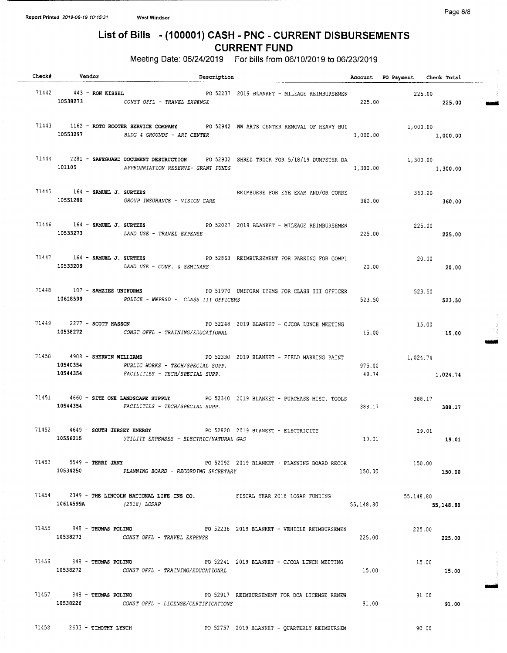# List of Bills - ( 100001) CASH - PNC - CURRENT DISBURSEMENTS CURRENT FUND

| Check# Vendor                             | <b>Description</b>                                                            |                                                                                                |           | Account PO Payment Check Total |           |  |
|-------------------------------------------|-------------------------------------------------------------------------------|------------------------------------------------------------------------------------------------|-----------|--------------------------------|-----------|--|
| 71442 443 - RON KISSEL                    | 10538273 CONST OFFL - TRAVEL EXPENSE                                          |                                                                                                |           | 225.00 225.00                  |           |  |
|                                           | 10553297 BLDG & GROUNDS - ART CENTER                                          | 71443 1162 - ROTO ROOTER SERVICE COMPANY PO 52942 WW ARTS CENTER REMOVAL OF HEAVY BUI 1,000.00 | 1,000.00  | 1,000.00                       |           |  |
| 101105                                    | APPROPRIATION RESERVE- GRANT FUNDS                                            | 71444 2281 - SAFEGUARD DOCUMENT DESTRUCTION PO 52902 SHRED TRUCK FOR 5/18/19 DUMPSTER DA       | 1,300.00  | 1,300.00<br>1,300.00           |           |  |
| $71445$ $164$ - SAMUEL J. SURTEES         | 10551280 GROUP INSURANCE - VISION CARE                                        | REIMBURSE FOR EYE EXAM AND/OR CORRE                                                            |           | 360.00<br>360.00 360.00        |           |  |
|                                           | 10533273 LAND USE - TRAVEL EXPENSE                                            | 71446 164 - SAMUEL J. SURTEES PO 52027 2019 BLANKET - MILEAGE REIMBURSEMEN                     | 225.00    | 225.00<br>225.00               |           |  |
|                                           | 10533209 LAND USE - CONF. & SEMINARS                                          | 71447 164 - SAMUEL J. SURTEES TAN PO 52863 REIMBURSEMENT FOR PARKING FOR COMPL                 | 20.00     | 20.00<br>20.00                 |           |  |
|                                           | 10618599 POLICE - WWPRSD - CLASS III OFFICERS                                 | 71448 107 - SAMZIES UNIFORMS PO 51970 UNIFORM ITEMS FOR CLASS III OFFICER                      | 523.50    | 523.50                         | 523.50    |  |
|                                           | 71449 2277 - SCOTT HASSON<br>10538272 CONST OFFL - TRAINING/EDUCATIONAL       | PO 52248 2019 BLANKET - CJCOA LUNCH MEETING                                                    | 15.00     | 15.00<br>15.00                 |           |  |
| 71450 4908 - SHERWIN WILLIAMS<br>10544354 | 10540354 PUBLIC WORKS - TECH/SPECIAL SUPP.<br>FACILITIES - TECH/SPECIAL SUPP. | PO 52330 2019 BLANKET - FIELD MARKING PAINT                                                    | 975.00    | 1,024.74<br>49.74 1,024.74     |           |  |
|                                           | 10544354 FACILITIES - TECH/SPECIAL SUPP.                                      | 71451 4660 - SITE ONE LANDSCAPE SUPPLY PO 52340 2019 BLANKET - PURCHASE MISC. TOOLS            | 388.17    | 388.17                         | 388.17    |  |
| 71452 4649 - SOUTH JERSEY ENERGY          | 10556215 UTILITY EXPENSES - ELECTRIC/NATURAL GAS                              | PO 52820 2019 BLANKET - ELECTRICITY                                                            | 19.01     | 19.01<br>19.01                 |           |  |
| 71453 5549 - TERRI JANY                   | 10534250 PLANNING BOARD - RECORDING SECRETARY                                 | PO 52092 2019 BLANKET - PLANNING BOARD RECOR                                                   | 150.00    | 150.00                         | 150.00    |  |
| 10614599A (2018) LOSAP                    | 71454 2349 - THE LINCOLN NATIONAL LIFE INS CO. FISCAL YEAR 2018 LOSAP FUNDING |                                                                                                | 55,148.80 | 55,148.80                      | 55,148.80 |  |
| 71455 848 - THOMAS POLINO<br>10538273     | CONST OFFL - TRAVEL EXPENSE                                                   | PO 52236 2019 BLANKET - VEHICLE REIMBURSEMEN                                                   | 225.00    | 225.00                         | 225.00    |  |
| $71456$ $848 -$ THOMAS POLINO             | 10538272 CONST OFFL - TRAINING/EDUCATIONAL                                    | PO 52241 2019 BLANKET - CJCOA LUNCH MEETING                                                    | 15.00     | 15.00                          | 15.00     |  |
| 71457 848 - THOMAS POLINO                 | 10538226 CONST OFFL - LICENSE/CERTIFICATIONS                                  | PO 52917 REIMBURSEMENT FOR DCA LICENSE RENEW                                                   | 91.00     | 91.00                          | 91.00     |  |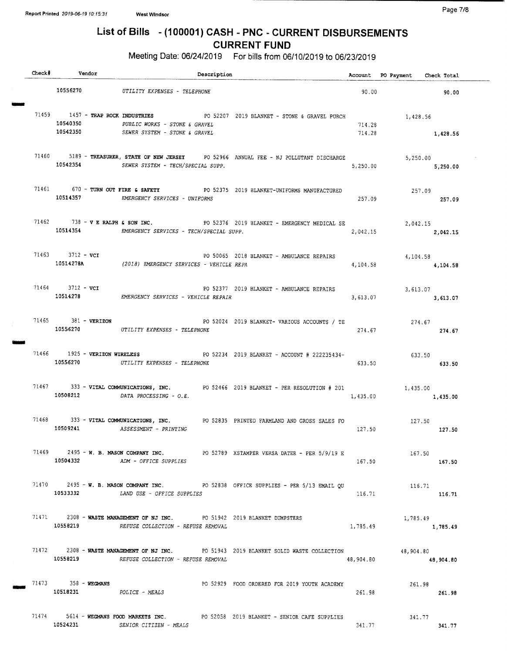### Page 7/8

# List of Bills - ( 100001) CASH - PNC - CURRENT DISBURSEMENTS CURRENT FUND

|  | Check# Vendor                                             | Description                                                                                                    |                                                                                                |                  | Account PO Payment Check Total |           |
|--|-----------------------------------------------------------|----------------------------------------------------------------------------------------------------------------|------------------------------------------------------------------------------------------------|------------------|--------------------------------|-----------|
|  |                                                           | 10556270 UTILITY EXPENSES - TELEPHONE                                                                          |                                                                                                | 90.00            |                                | 90.00     |
|  | 71459 1457 - TRAP ROCK INDUSTRIES<br>10540350<br>10542350 | PUBLIC WORKS - STONE & GRAVEL<br>SEWER SYSTEM - STONE & GRAVEL                                                 | PO 52207 2019 BLANKET - STONE & GRAVEL PURCH                                                   | 714.28<br>714.28 | 1,428.56                       | 1,428.56  |
|  |                                                           | 10542354 SEWER SYSTEM - TECH/SPECIAL SUPP.                                                                     | 71460 5189 - TREASURER, STATE OF NEW JERSEY PO 52966 ANNUAL FEE - NJ POLLUTANT DISCHARGE       | 5,250.00         | 5,250.00<br>5,250.00           |           |
|  |                                                           | 10514357 EMERGENCY SERVICES - UNIFORMS                                                                         | 71461 670 - TURN OUT FIRE & SAFETY PO 52375 2019 BLANKET-UNIFORMS MANUFACTURED                 | 257.09           | 257.09<br>257.09               |           |
|  |                                                           | 10514354 EMERGENCY SERVICES - TECH/SPECIAL SUPP.                                                               | 71462 738 - V E RALPH & SON INC. PO 52376 2019 BLANKET - EMERGENCY MEDICAL SE                  | 2,042.15         | 2,042.15<br>2,042.15           |           |
|  | 71463 3712 - $vcr$                                        | 10514278A (2018) EMERGENCY SERVICES - VEHICLE REPA                                                             | PO 50065 2018 BLANKET - AMBULANCE REPAIRS                                                      | 4,104.58         | 4,104.58<br>4,104.58           |           |
|  | 71464 3712 - VCI                                          | 10514278 EMERGENCY SERVICES - VEHICLE REPAIR                                                                   | PO 52377 2019 BLANKET - AMBULANCE REPAIRS                                                      | 3,613.07         | 3,613.07<br>3,613.07           |           |
|  | 71465 381 - VERIZON                                       | 10556270 UTILITY EXPENSES - TELEPHONE                                                                          | PO 52024 2019 BLANKET- VARIOUS ACCOUNTS / TE                                                   | 274.67           | 274.67                         | 274.67    |
|  |                                                           | 10556270 UTILITY EXPENSES - TELEPHONE                                                                          | 71466 1925 - VERIZON WIRELESS 2019 BLANKET - ACCOUNT # 222235434-                              | 633.50           | 633.50<br>633.50               |           |
|  |                                                           | 10508212 DATA PROCESSING - O.E.                                                                                | 71467 333 - VITAL COMMUNICATIONS, INC. PO 52466 2019 BLANKET - PER RESOLUTION # 201 $1,435.00$ | 1,435.00         | 1,435.00                       |           |
|  |                                                           | 10509241 ASSESSMENT - PRINTING                                                                                 | 71468 333 - VITAL COMMUNICATIONS, INC. PO 52835 PRINTED FARMLAND AND GROSS SALES FO            | 127.50           | 127.50<br>127.50               |           |
|  |                                                           | 10504332 ADM - OFFICE SUPPLIES                                                                                 | 71469 2495 - W. B. MASON COMPANY INC. 20 2789 XSTAMPER VERSA DATER - PER 5/9/19 E              | 167.50           | 167.50                         | 167.50    |
|  |                                                           | 10533332 LAND USE - OFFICE SUPPLIES                                                                            | 71470 2495 - W. B. MASON COMPANY INC. PO 52838 OFFICE SUPPLIES - PER 5/13 EMAIL QU             | 116.71           | 116.71<br>116.71               |           |
|  | 10558219                                                  | 71471 2308 - WASTE MANAGEMENT OF NJ INC. PO 51942 2019 BLANKET DUMPSTERS<br>REFUSE COLLECTION - REFUSE REMOVAL |                                                                                                | 1,785.49         | 1,785.49<br>1,785.49           |           |
|  | 10558219                                                  | REFUSE COLLECTION - REFUSE REMOVAL                                                                             | 71472 2308 - WASTE MANAGEMENT OF NJ INC. PO 51943 2019 BLANKET SOLID WASTE COLLECTION          | 48,904.80        | 48,904.80                      | 48,904.80 |
|  | $71473$ $358 - WEGMANS$<br>10518231 POLICE - MEALS        |                                                                                                                | PO 52929 FOOD ORDERED FOR 2019 YOUTH ACADEMY                                                   | 261.98           | 261.98                         | 261.98    |
|  | 10524231                                                  | SENIOR CITIZEN - MEALS                                                                                         | 71474 5614 - WEGMANS FOOD MARKETS INC. PO 52058 2019 BLANKET - SENIOR CAFE SUPPLIES            | 341.77           | 341.77<br>341.77               |           |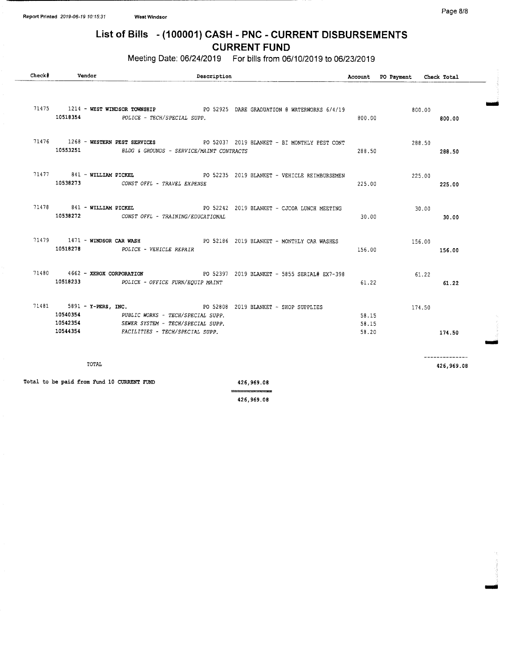# List of Bills - ( 100001) CASH - PNC - CURRENT DISBURSEMENTS CURRENT FUND

Meeting Date: 06/24/2019 For bills from 06/10/2019 to 06/23/2019

| Check# | Vendor                                     | Description                                                                                                                                                                                             |                |                         | Account PO Payment Check Total |                              |
|--------|--------------------------------------------|---------------------------------------------------------------------------------------------------------------------------------------------------------------------------------------------------------|----------------|-------------------------|--------------------------------|------------------------------|
|        |                                            |                                                                                                                                                                                                         |                |                         |                                |                              |
|        |                                            | 71475 1214 - WEST WINDSOR TOWNSHIP PO 52925 DARE GRADUATION @ WATERWORKS 6/4/19<br>10518354 POLICE - TECH/SPECIAL SUPP.                                                                                 |                | 800.00                  | 800.00                         | 800.00                       |
|        |                                            | 71476 1268 - WESTERN PEST SERVICES 60 PO 52037 2019 BLANKET - BI MONTHLY PEST CONT<br>10553251 BLDG & GROUNDS - SERVICE/MAINT CONTRACTS                                                                 |                | 288.50                  | 288.50<br>288.50               |                              |
|        |                                            | 71477 841 - WILLIAM PICKEL PO 52235 2019 BLANKET - VEHICLE REIMBURSEMEN<br>10538273 CONST OFFL - TRAVEL EXPENSE                                                                                         |                | 225.00                  | 225.00                         | 225.00                       |
|        |                                            | 71478 841 - WILLIAM PICKEL PO 52242 2019 BLANKET - CJCOA LUNCH MEETING<br>10538272 CONST OFFL - TRAINING/EDUCATIONAL                                                                                    |                | 30.00                   | 30.00                          | 30.00                        |
|        |                                            | 71479 1471 - WINDSOR CAR WASH PO 52186 2019 BLANKET - MONTHLY CAR WASHES<br>10518278 POLICE - VEHICLE REPAIR                                                                                            |                | 156.00                  | 156.00                         | 156.00                       |
|        |                                            | 71480 4662 - XEROX CORPORATION 60 2397 2019 BLANKET - 5855 SERIAL# EX7-398<br>10518233 POLICE - OFFICE FURN/EQUIP MAINT                                                                                 |                | 61.22                   | 61.22                          | 61.22                        |
|        |                                            | 71481 5891 - Y-PERS, INC. PO 52808 2019 BLANKET - SHOP SUPPLIES<br>10540354 PUBLIC WORKS - TECH/SPECIAL SUPP.<br>10542354 SEWER SYSTEM - TECH/SPECIAL SUPP.<br>10544354 FACILITIES - TECH/SPECIAL SUPP. |                | 58.15<br>58.15<br>58.20 | 174.50                         | 174.50                       |
|        | TOTAL                                      |                                                                                                                                                                                                         |                |                         |                                | --------------<br>426,969.08 |
|        | Total to be paid from Fund 10 CURRENT FUND | 426,969,08                                                                                                                                                                                              | ************** |                         |                                |                              |

426, 969. 08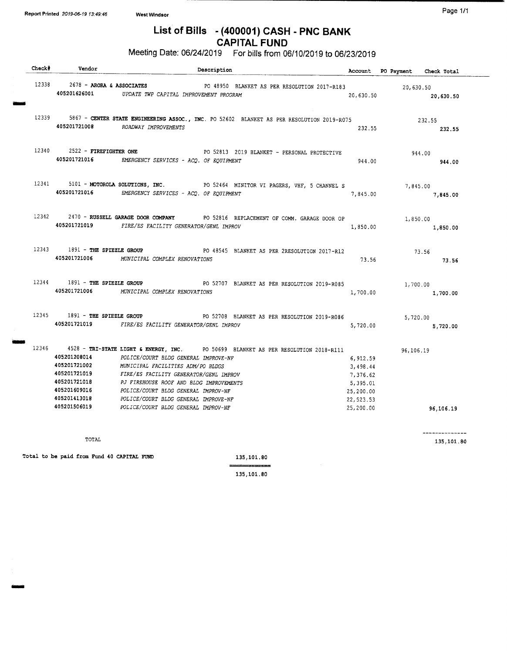# List of Bills - (400001) CASH - PNC BANK CAPITAL FUND

Meeting Date: 06/24/2019 For bills from 06/10/2019 to 06/23/2019

| Check# | Vendor                         | Description                                                                                                                      |                      | Account PO Payment Check Total |           |
|--------|--------------------------------|----------------------------------------------------------------------------------------------------------------------------------|----------------------|--------------------------------|-----------|
|        |                                | 12338 2678 - ARORA & ASSOCIATES PO 48950 BLANKET AS PER RESOLUTION 2017-R183 20,630.50                                           |                      |                                |           |
|        |                                | 405201626001 UPDATE TWP CAPITAL IMPROVEMENT PROGRAM                                                                              |                      | 20,630.50                      | 20,630.50 |
|        |                                |                                                                                                                                  |                      |                                |           |
|        |                                | 12339 5867 - CENTER STATE ENGINEERING ASSOC., INC. PO 52602 BLANKET AS PER RESOLUTION 2019-R075                                  |                      | 232.55                         |           |
|        |                                | 405201721008 ROADWAY IMPROVEMENTS                                                                                                | 232.55               | 232.55                         |           |
|        |                                |                                                                                                                                  |                      |                                |           |
|        |                                | 12340 2522 - FIREFIGHTER ONE 2019 BLANKET - PERSONAL PROTECTIVE                                                                  |                      | 944.00                         |           |
|        |                                | 405201721016 EMERGENCY SERVICES - ACQ. OF EQUIPMENT                                                                              | 944.00               | 944.00                         |           |
|        |                                | 12341 5101 - MOTOROLA SOLUTIONS, INC. PO 52464 MINITOR VI PAGERS, VHF, 5 CHANNEL S                                               |                      |                                |           |
|        |                                | 405201721016 EMERGENCY SERVICES - ACQ. OF EQUIPMENT                                                                              | 7,845.00             | 7,845.00<br>7,845,00           |           |
|        |                                |                                                                                                                                  |                      |                                |           |
|        |                                | 12342 2470 - RUSSELL GARAGE DOOR COMPANY PO 52816 REPLACEMENT OF COMM. GARAGE DOOR OP 1,850.00                                   |                      |                                |           |
|        |                                | 405201721019 FIRE/ES FACILITY GENERATOR/GENL IMPROV                                                                              | 1,850.00             | 1,850.00                       |           |
|        |                                |                                                                                                                                  |                      |                                |           |
|        |                                | 12343 1891 - THE SPIEZLE GROUP PO 48545 BLANKET AS PER 2RESOLUTION 2017-R12 73.56                                                |                      |                                |           |
|        |                                | 405201721006 MUNICIPAL COMPLEX RENOVATIONS                                                                                       | 73.56                | 73.56                          |           |
|        | 12344 1891 - THE SPIEZLE GROUP | PO 52707 BLANKET AS PER RESOLUTION 2019-R085 1,700.00                                                                            |                      |                                |           |
|        |                                | 405201721006 MUNICIPAL COMPLEX RENOVATIONS                                                                                       | 1,700.00             | 1,700.00                       |           |
|        |                                |                                                                                                                                  |                      |                                |           |
|        |                                | 12345 1891 - THE SPIEZLE GROUP PO 52708 BLANKET AS PER RESOLUTION 2019-R086                                                      |                      | 5,720.00                       |           |
|        |                                | 405201721019 FIRE/ES FACILITY GENERATOR/GENL IMPROV                                                                              | 5,720.00             |                                | 5,720.00  |
|        |                                |                                                                                                                                  |                      |                                |           |
|        | 405201208014                   | 12346 4528 - TRI-STATE LIGHT & ENERGY, INC. PO 50699 BLANKET AS PER RESOLUTION 2018-R111<br>POLICE/COURT BLDG GENERAL IMPROVE-NF |                      | 96,106.19                      |           |
|        | 405201721002                   | V<br>TS<br>TS<br>MUNICIPAL FACILITIES ADM/PO BLDGS                                                                               | 6,912.59<br>3,498.44 |                                |           |
|        | 405201721019                   | FIRE/ES FACILITY GENERATOR/GENL IMPROV                                                                                           | 7,376.62             |                                |           |
|        | 405201721018                   | PJ FIREHOUSE ROOF AND BLDG IMPROVEMENTS                                                                                          | 5,395.01             |                                |           |
|        | 405201609016                   | POLICE/COURT BLDG GENERAL IMPROV-NF                                                                                              | 25,200.00            |                                |           |
|        | 405201413018                   | POLICE/COURT BLDG GENERAL IMPROVE-NF                                                                                             | 22,523.53            |                                |           |
|        | 405201506019                   | POLICE/COURT BLDG GENERAL IMPROV-NF                                                                                              | 25,200.00            | 96,106.19                      |           |

TOTAL

Total to be paid from Fund 40 CAPITAL FUND 135, 101.80

135, 101. 80

--------------135, 101. 80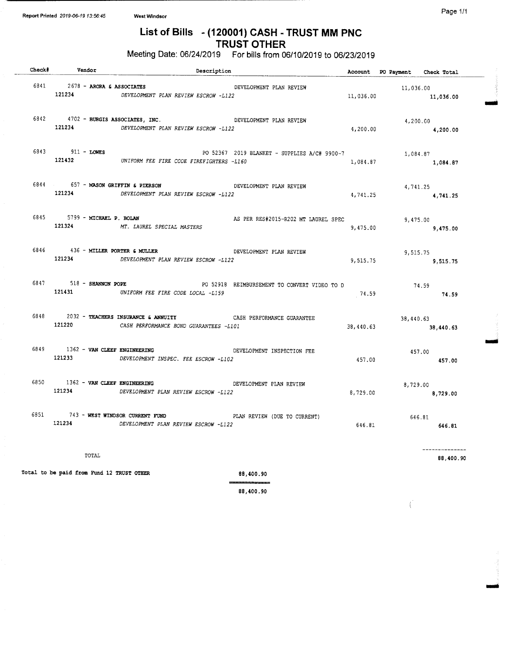### List of Bills - ( 120001) CASH - TRUST MM PNC TRUST OTHER

Meeting Date: 06/24/2019 For bills from 06/10/2019 to 06/23/2019

| Check# Vendor                             | Description                                                                                                         |                                              |           | Account PO Payment Check Total |                        |
|-------------------------------------------|---------------------------------------------------------------------------------------------------------------------|----------------------------------------------|-----------|--------------------------------|------------------------|
| 6841 2678 - ARORA & ASSOCIATES<br>121234  | DEVELOPMENT PLAN REVIEW ESCROW -L122                                                                                | DEVELOPMENT PLAN REVIEW                      | 11,036.00 | 11,036.00                      | 11,036.00              |
| 121234                                    | 6842 4702 - BURGIS ASSOCIATES, INC.<br>DEVELOPMENT PLAN REVIEW ESCROW -L122                                         | DEVELOPMENT PLAN REVIEW                      | 4,200.00  |                                | 4,200.00<br>4,200.00   |
| 6843 911 - LOWES                          | 121432 UNIFORM FEE FIRE CODE FIREFIGHTERS -L160                                                                     | PO 52367 2019 BLANKET - SUPPLIES A/C# 9900-7 | 1,084.87  |                                | 1,084.87<br>1,084.87   |
|                                           | 6844 657 - MASON GRIFFIN & PIERSON<br>121234 DEVELOPMENT PLAN REVIEW ESCROW -L122                                   | DEVELOPMENT PLAN REVIEW                      | 4,741.25  |                                | 4,741.25<br>4,741.25   |
| 6845 5799 - MICHAEL P. BOLAN              | 121324 MT. LAUREL SPECIAL MASTERS                                                                                   | AS PER RES#2015-R202 MT LAUREL SPEC          | 9,475.00  |                                | 9,475.00<br>9,475.00   |
| 6846 436 - MILLER PORTER & MULLER         | 121234 DEVELOPMENT PLAN REVIEW ESCROW -L122                                                                         | DEVELOPMENT PLAN REVIEW                      |           | $9,515.75$ $9,515.75$          | 9,515.75               |
| 6847 518 - SHANNON POPE                   | 121431 UNIFORM FEE FIRE CODE LOCAL -L159                                                                            | PO 52918 REIMBURSEMENT TO CONVERT VIDEO TO D | 74.59     |                                | $74.59$<br>$74.59$     |
| 121220                                    | 6848 2032 - TEACHERS INSURANCE & ANNUITY CASH PERFORMANCE GUARANTEE<br>CASH PERFORMANCE BOND GUARANTEES -L101       |                                              | 38,440.63 |                                | 38,440.63<br>38,440.63 |
|                                           | 6849 1362 - VAN CLEEF ENGINEERING CONTROL DEVELOPMENT INSPECTION FEE<br>121233 DEVELOPMENT INSPEC. FEE ESCROW -L102 |                                              | 457.00    |                                | 457.00<br>457.00       |
|                                           | 6850 1362 - VAN CLEEF ENGINEERING DEVELOPMENT PLAN REVIEW<br>121234 DEVELOPMENT PLAN REVIEW ESCROW -L122            |                                              | 8,729.00  |                                | 8,729.00<br>8,729.00   |
| 121234                                    | 6851 743 - WEST WINDSOR CURRENT FUND<br>PLAN REVIEW (DUE TO CURRENT)<br>DEVELOPMENT PLAN REVIEW ESCROW -L122        |                                              | 646.81    | 646.81                         | 646.81                 |
| TOTAL                                     |                                                                                                                     |                                              |           |                                | 88,400.90              |
| Total to be paid from Fund 12 TRUST OTHER |                                                                                                                     | 88,400.90                                    |           |                                |                        |

88, 400. 90

Nal

 $\overline{C}$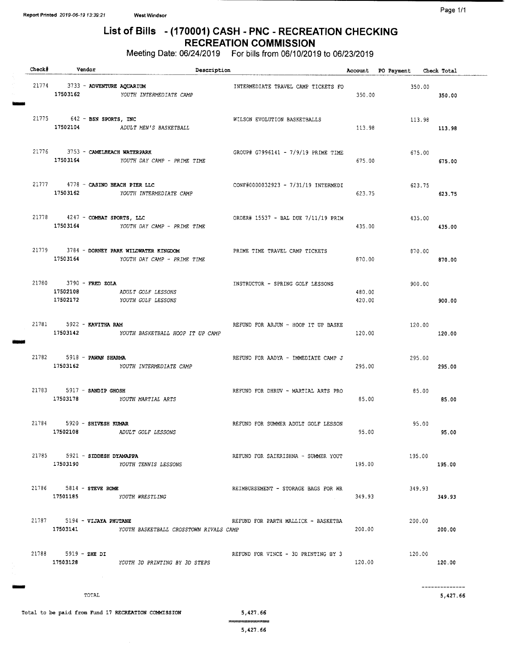Page 1/1

### List of Bills - ( 170001) CASH - PNC - RECREATION CHECKING RECREATION COMMISSION

Meeting Date: 06/24/2019 For bills from 06/10/2019 to 06/23/2019

| Check# |                                       | Vendor     | Description                                                            |                                     |                  | Account PO Payment Check Total |                           |
|--------|---------------------------------------|------------|------------------------------------------------------------------------|-------------------------------------|------------------|--------------------------------|---------------------------|
|        | 21774 3733 - ADVENTURE AQUARIUM       |            | 17503162 YOUTH INTERMEDIATE CAMP                                       | INTERMEDIATE TRAVEL CAMP TICKETS FO | 350.00           | 350.00                         | 350.00                    |
|        | 21775 642 - BSN SPORTS, INC           |            | 17502104 ADULT MEN'S BASKETBALL                                        | WILSON EVOLUTION BASKETBALLS        | 113.98           | 113.98                         | 113.98                    |
| 21776  | 17503164                              |            | 3753 - CAMELBEACH WATERPARK<br>YOUTH DAY CAMP - PRIME TIME             | GROUP# G7996141 - 7/9/19 PRIME TIME | 675.00           | 675.00                         | 675.00                    |
|        |                                       |            | 21777 4778 - CASINO BEACH PIER LLC<br>17503162 YOUTH INTERMEDIATE CAMP | CONF#0000032923 - 7/31/19 INTERMEDI | 623.75           | 623.75                         | 623.75                    |
|        | 21778 4247 - COMBAT SPORTS, LLC       |            | 17503164 YOUTH DAY CAMP - PRIME TIME                                   | ORDER# 15537 - BAL DUE 7/11/19 PRIM | 435.00           | 435.00                         | 435.00                    |
| 21779  | 17503164                              |            | 3784 - DORNEY PARK WILDWATER KINGDOM<br>YOUTH DAY CAMP - PRIME TIME    | PRIME TIME TRAVEL CAMP TICKETS      | 870.00           | 870.00                         | 870.00                    |
|        | 21780 3790 - FRED ZOLA<br>17502108    |            | ADULT GOLF LESSONS<br>17502172 YOUTH GOLF LESSONS                      | INSTRUCTOR - SPRING GOLF LESSONS    | 480.00<br>420.00 | 900.00                         | 900.00                    |
|        | 21781 5922 - KAVITHA RAM              |            | 17503142 YOUTH BASKETBALL HOOP IT UP CAMP                              | REFUND FOR ARJUN - HOOP IT UP BASKE | 120.00           | 120.00                         | 120.00                    |
|        | 21782 5918 - PAWAN SHARMA             |            | 17503162 YOUTH INTERMEDIATE CAMP                                       | REFUND FOR AADYA - IMMEDIATE CAMP J | 295.00           | 295.00                         | 295.00                    |
|        | 21783 5917 - SANDIP GHOSH<br>17503178 |            | YOUTH MARTIAL ARTS                                                     | REFUND FOR DHRUV - MARTIAL ARTS PRO | 85.00            | 85.00                          | 85.00                     |
|        | 21784 5920 - SHIVESH KUMAR            |            | 17502108 ADULT GOLF LESSONS                                            | REFUND FOR SUMMER ADULT GOLF LESSON | 95.00            | 95.00                          | 95.00                     |
|        | 21785 5921 - SIDDESH DYAMAPPA         |            | 17503190 YOUTH TENNIS LESSONS                                          | REFUND FOR SAIKRISHNA - SUMMER YOUT | 195.00           | 195.00                         | 195.00                    |
|        | 21786 5814 - STEVE ROME               |            | 17501185 YOUTH WRESTLING                                               | REIMBURSEMENT - STORAGE BAGS FOR WR | 349.93           | 349.93                         | 349.93                    |
|        | 21787 5194 - VIJAYA PHUTANE           |            | 17503141 YOUTH BASKETBALL CROSSTOWN RIVALS CAMP                        | REFUND FOR PARTH MALLICK - BASKETBA | 200.00           | 200.00                         | 200.00                    |
|        | $21788$ 5919 - ZHE DI                 | $\sim 100$ | 17503128 YOUTH 3D PRINTING BY 3D STEPS                                 | REFUND FOR VINCE - 3D PRINTING BY 3 | 120.00           | 120.00                         | 120.00                    |
|        |                                       | TOTAL      |                                                                        |                                     |                  |                                | -------------<br>5,427.66 |

Total to be paid from Fund 17 RECREATION COMMISSION 5,427.66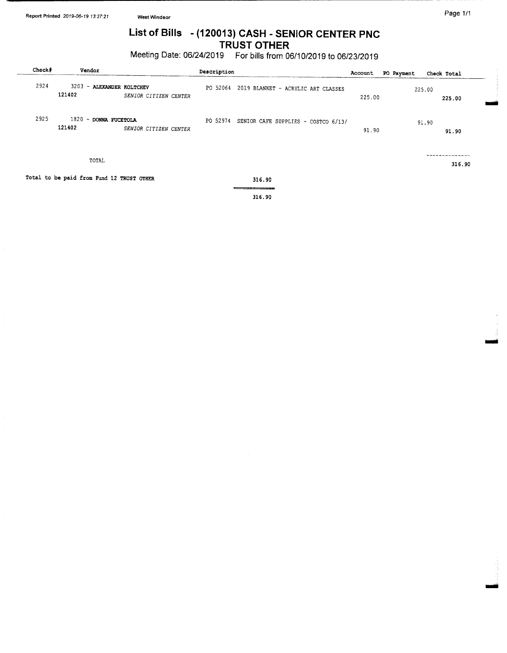# List of Bills - ( 120013) CASH - SENIOR CENTER PNC TRUST OTHER

Meeting Date: 06/24/2019 For bills from 06/10/2019 to 06/23/2019

| Check | Vendor                                    |                       | Description                                  | Account | PO Payment<br>Check Total |        |
|-------|-------------------------------------------|-----------------------|----------------------------------------------|---------|---------------------------|--------|
| 2924  | 3203 - ALEXANDER ROLTCHEV<br>121402       | SENIOR CITIZEN CENTER | PO 52064 2019 BLANKET - ACRYLIC ART CLASSES  | 225.00  | 225.00                    | 225.00 |
| 2925  | 1820 - DONNA FUCETOLA<br>121402           | SENIOR CITIZEN CENTER | PO 52974 SENIOR CAFE SUPPLIES - COSTCO 6/13/ | 91.90   | 91.90                     | 91.90  |
|       | TOTAL                                     |                       |                                              |         |                           | 316.90 |
|       | Total to be paid from Fund 12 TRUST OTHER |                       | 316.90                                       |         |                           |        |
|       |                                           |                       | <b>216.00.</b>                               |         |                           |        |

316. 90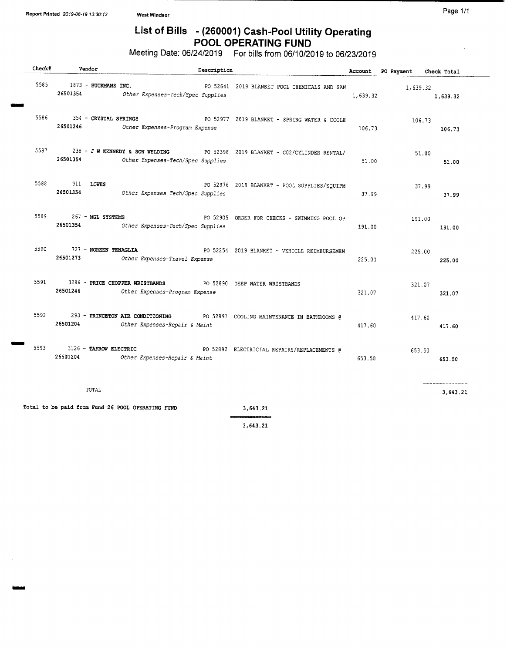tiler

# List of Bills - (260001) Cash-Pool Utility Operating POOL OPERATING FUND

Meeting Date: 06/24/2019 For bills from 06/10/2019 to 06/23/2019

| Check# | Vendor                            | Description                                                                                                      |          | Account PO Payment | Check Total    |
|--------|-----------------------------------|------------------------------------------------------------------------------------------------------------------|----------|--------------------|----------------|
| 5585   | 1873 - BUCKMANS INC.              | PO 52641 2019 BLANKET POOL CHEMICALS AND SAN<br>26501354 Other Expenses-Tech/Spec Supplies                       | 1,639.32 | 1,639.32           | 1,639.32       |
| 5586   | 26501246                          | 354 - CRYSTAL SPRINGS PO 52977 2019 BLANKET - SPRING WATER & COOLE<br>Other Expenses-Program Expense             | 106.73   | 106.73             | 106.73         |
| 5587   | 26501354                          | 238 - JW KENNEDY & SON WELDING PO 52398 2019 BLANKET - CO2/CYLINDER RENTAL/<br>Other Expenses-Tech/Spec Supplies | 51.00    |                    | 51.00<br>51.00 |
|        | 5588 911 - LOWES                  | PO 52976 2019 BLANKET - POOL SUPPLIES/EQUIPM<br>26501354 Other Expenses-Tech/Spec Supplies                       | 37.99    | 37.99              | 37.99          |
| 5589   | 267 - MGL SYSTEMS                 | PO 52905 ORDER FOR CHECKS - SWIMMING POOL OP<br>26501354 Other Expenses-Tech/Spec Supplies                       | 191.00   | 191.00             | 191.00         |
| 5590   | 727 - NOREEN TENAGLIA<br>26501273 | PO 52254 2019 BLANKET - VEHICLE REIMBURSEMEN<br>Other Expenses-Travel Expense                                    | 225.00   | 225.00             | 225.00         |
| 5591   | 26501246                          | 3286 - PRICE CHOPPER WRISTBANDS PO 52890 DEEP WATER WRISTBANDS<br>Other Expenses-Program Expense                 | 321.07   | 321.07             | 321.07         |
| 5592   | 26501204                          | 293 - PRINCETON AIR CONDITIONING PO 52891 COOLING MAINTENANCE IN BATHROOMS @<br>Other Expenses-Repair & Maint    | 417.60   | 417.60             | 417.60         |
| 5593   | 26501204                          | 3126 - TAFROW ELECTRIC PO 52892 ELECTRICIAL REPAIRS/REPLACEMENTS @<br>Other Expenses-Repair & Maint              | 653.50   | 653.50             | 653.50         |
|        | TOTAL                             |                                                                                                                  |          |                    | 3,643.21       |
|        |                                   | Total to be paid from Fund 26 POOL OPERATING FUND<br>3,643.21<br>_______________                                 |          |                    |                |

3, 643. 21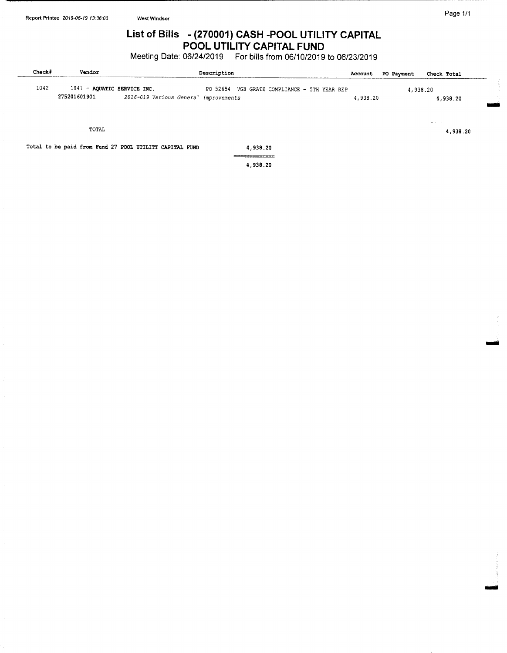# List of Bills - (270001) CASH - POOL UTILITY CAPITAL POOL UTILITY CAPITAL FUND

Meeting Date: 06/24/2019 For bills from 06/10/2019 to 06/23/2019

| Check# | Vendor                                      |                                                         | Description                                  | Account  | PO Payment | Check Total          |  |
|--------|---------------------------------------------|---------------------------------------------------------|----------------------------------------------|----------|------------|----------------------|--|
| 1042   | 1841 - AQUATIC SERVICE INC.<br>275201601901 | 2016-019 Various General Improvements                   | PO 52654 VGB GRATE COMPLIANCE - 5TH YEAR REP | 4,938.20 |            | 4,938.20<br>4,938.20 |  |
|        | TOTAL                                       |                                                         |                                              |          |            | 4,938.20             |  |
|        |                                             | Total to be paid from Fund 27 POOL UTILITY CAPITAL FUND | 4,938.20                                     |          |            |                      |  |
|        |                                             |                                                         | ________<br>4,938.20                         |          |            |                      |  |

imid